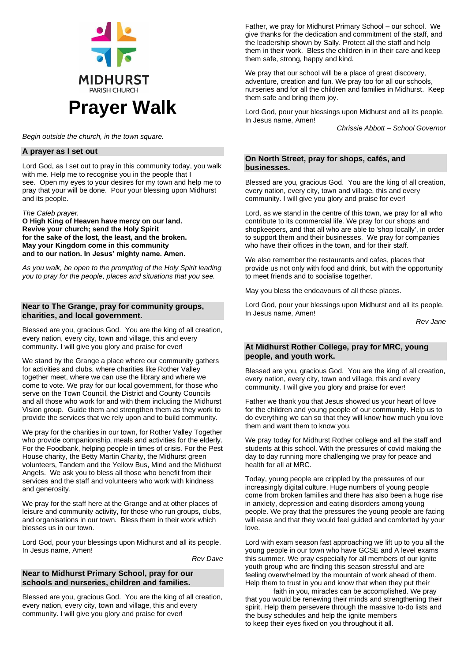

*Begin outside the church, in the town square.*

#### **A prayer as I set out**

Lord God, as I set out to pray in this community today, you walk with me. Help me to recognise you in the people that I see. Open my eyes to your desires for my town and help me to pray that your will be done. Pour your blessing upon Midhurst and its people.

*The Caleb prayer.*

**O High King of Heaven have mercy on our land. Revive your church; send the Holy Spirit for the sake of the lost, the least, and the broken. May your Kingdom come in this community and to our nation. In Jesus' mighty name. Amen.**

*As you walk, be open to the prompting of the Holy Spirit leading you to pray for the people, places and situations that you see.*

## **Near to The Grange, pray for community groups, charities, and local government.**

Blessed are you, gracious God. You are the king of all creation, every nation, every city, town and village, this and every community. I will give you glory and praise for ever!

We stand by the Grange a place where our community gathers for activities and clubs, where charities like Rother Valley together meet, where we can use the library and where we come to vote. We pray for our local government, for those who serve on the Town Council, the District and County Councils and all those who work for and with them including the Midhurst Vision group. Guide them and strengthen them as they work to provide the services that we rely upon and to build community.

We pray for the charities in our town, for Rother Valley Together who provide companionship, meals and activities for the elderly. For the Foodbank, helping people in times of crisis. For the Pest House charity, the Betty Martin Charity, the Midhurst green volunteers, Tandem and the Yellow Bus, Mind and the Midhurst Angels. We ask you to bless all those who benefit from their services and the staff and volunteers who work with kindness and generosity.

We pray for the staff here at the Grange and at other places of leisure and community activity, for those who run groups, clubs, and organisations in our town. Bless them in their work which blesses us in our town.

Lord God, pour your blessings upon Midhurst and all its people. In Jesus name, Amen!

*Rev Dave*

#### **Near to Midhurst Primary School, pray for our schools and nurseries, children and families.**

Blessed are you, gracious God. You are the king of all creation, every nation, every city, town and village, this and every community. I will give you glory and praise for ever!

Father, we pray for Midhurst Primary School – our school. We give thanks for the dedication and commitment of the staff, and the leadership shown by Sally. Protect all the staff and help them in their work. Bless the children in in their care and keep them safe, strong, happy and kind.

We pray that our school will be a place of great discovery, adventure, creation and fun. We pray too for all our schools, nurseries and for all the children and families in Midhurst. Keep them safe and bring them joy.

Lord God, pour your blessings upon Midhurst and all its people. In Jesus name, Amen!

*Chrissie Abbott – School Governor*

## **On North Street, pray for shops, cafés, and businesses.**

Blessed are you, gracious God. You are the king of all creation, every nation, every city, town and village, this and every community. I will give you glory and praise for ever!

Lord, as we stand in the centre of this town, we pray for all who contribute to its commercial life. We pray for our shops and shopkeepers, and that all who are able to 'shop locally', in order to support them and their businesses. We pray for companies who have their offices in the town, and for their staff.

We also remember the restaurants and cafes, places that provide us not only with food and drink, but with the opportunity to meet friends and to socialise together.

May you bless the endeavours of all these places.

Lord God, pour your blessings upon Midhurst and all its people. In Jesus name, Amen!

*Rev Jane*

# **At Midhurst Rother College, pray for MRC, young people, and youth work.**

Blessed are you, gracious God. You are the king of all creation, every nation, every city, town and village, this and every community. I will give you glory and praise for ever!

Father we thank you that Jesus showed us your heart of love for the children and young people of our community. Help us to do everything we can so that they will know how much you love them and want them to know you.

We pray today for Midhurst Rother college and all the staff and students at this school. With the pressures of covid making the day to day running more challenging we pray for peace and health for all at MRC.

Today, young people are crippled by the pressures of our increasingly digital culture. Huge numbers of young people come from broken families and there has also been a huge rise in anxiety, depression and eating disorders among young people. We pray that the pressures the young people are facing will ease and that they would feel guided and comforted by your love.

Lord with exam season fast approaching we lift up to you all the young people in our town who have GCSE and A level exams this summer. We pray especially for all members of our ignite youth group who are finding this season stressful and are feeling overwhelmed by the mountain of work ahead of them. Help them to trust in you and know that when they put their

faith in you, miracles can be accomplished. We pray that you would be renewing their minds and strengthening their spirit. Help them persevere through the massive to-do lists and the busy schedules and help the ignite members to keep their eyes fixed on you throughout it all.